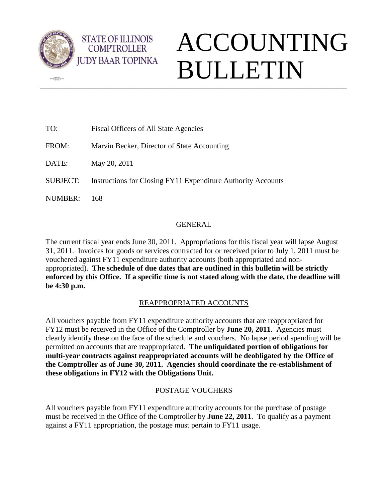

 $\sqrt{2}$ 

**STATE OF ILLINOIS COMPTROLLER** 

# \_\_\_\_\_\_\_\_\_\_\_\_\_\_\_\_\_\_\_\_\_\_\_\_\_\_\_\_\_\_\_\_\_\_\_\_\_\_\_\_\_\_\_\_\_\_\_\_\_\_\_\_\_\_\_\_\_\_\_\_\_\_\_\_\_\_\_\_\_\_\_\_\_\_\_\_\_\_\_\_\_\_\_\_\_\_\_\_\_\_\_\_\_\_\_\_\_ ACCOUNTING BULLETIN

| TO:             | <b>Fiscal Officers of All State Agencies</b>                 |
|-----------------|--------------------------------------------------------------|
| FROM:           | Marvin Becker, Director of State Accounting                  |
| DATE:           | May 20, 2011                                                 |
| <b>SUBJECT:</b> | Instructions for Closing FY11 Expenditure Authority Accounts |
| NUMBER:         | 168.                                                         |

## GENERAL

The current fiscal year ends June 30, 2011. Appropriations for this fiscal year will lapse August 31, 2011. Invoices for goods or services contracted for or received prior to July 1, 2011 must be vouchered against FY11 expenditure authority accounts (both appropriated and nonappropriated). **The schedule of due dates that are outlined in this bulletin will be strictly enforced by this Office. If a specific time is not stated along with the date, the deadline will be 4:30 p.m.**

## REAPPROPRIATED ACCOUNTS

All vouchers payable from FY11 expenditure authority accounts that are reappropriated for FY12 must be received in the Office of the Comptroller by **June 20, 2011**. Agencies must clearly identify these on the face of the schedule and vouchers. No lapse period spending will be permitted on accounts that are reappropriated. **The unliquidated portion of obligations for multi-year contracts against reappropriated accounts will be deobligated by the Office of the Comptroller as of June 30, 2011. Agencies should coordinate the re-establishment of these obligations in FY12 with the Obligations Unit.** 

## POSTAGE VOUCHERS

All vouchers payable from FY11 expenditure authority accounts for the purchase of postage must be received in the Office of the Comptroller by **June 22, 2011**. To qualify as a payment against a FY11 appropriation, the postage must pertain to FY11 usage.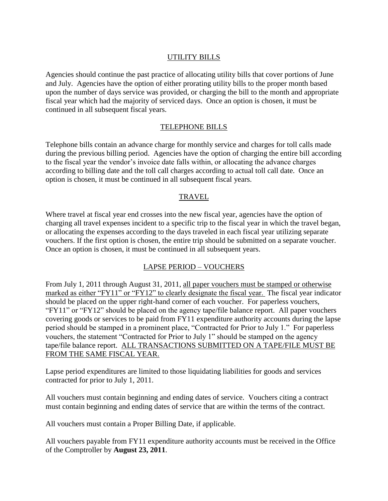## UTILITY BILLS

Agencies should continue the past practice of allocating utility bills that cover portions of June and July. Agencies have the option of either prorating utility bills to the proper month based upon the number of days service was provided, or charging the bill to the month and appropriate fiscal year which had the majority of serviced days. Once an option is chosen, it must be continued in all subsequent fiscal years.

## TELEPHONE BILLS

Telephone bills contain an advance charge for monthly service and charges for toll calls made during the previous billing period. Agencies have the option of charging the entire bill according to the fiscal year the vendor's invoice date falls within, or allocating the advance charges according to billing date and the toll call charges according to actual toll call date. Once an option is chosen, it must be continued in all subsequent fiscal years.

## TRAVEL

Where travel at fiscal year end crosses into the new fiscal year, agencies have the option of charging all travel expenses incident to a specific trip to the fiscal year in which the travel began, or allocating the expenses according to the days traveled in each fiscal year utilizing separate vouchers. If the first option is chosen, the entire trip should be submitted on a separate voucher. Once an option is chosen, it must be continued in all subsequent years.

## LAPSE PERIOD – VOUCHERS

From July 1, 2011 through August 31, 2011, all paper vouchers must be stamped or otherwise marked as either "FY11" or "FY12" to clearly designate the fiscal year. The fiscal year indicator should be placed on the upper right-hand corner of each voucher. For paperless vouchers, "FY11" or "FY12" should be placed on the agency tape/file balance report. All paper vouchers covering goods or services to be paid from FY11 expenditure authority accounts during the lapse period should be stamped in a prominent place, "Contracted for Prior to July 1." For paperless vouchers, the statement "Contracted for Prior to July 1" should be stamped on the agency tape/file balance report. ALL TRANSACTIONS SUBMITTED ON A TAPE/FILE MUST BE FROM THE SAME FISCAL YEAR.

Lapse period expenditures are limited to those liquidating liabilities for goods and services contracted for prior to July 1, 2011.

All vouchers must contain beginning and ending dates of service. Vouchers citing a contract must contain beginning and ending dates of service that are within the terms of the contract.

All vouchers must contain a Proper Billing Date, if applicable.

All vouchers payable from FY11 expenditure authority accounts must be received in the Office of the Comptroller by **August 23, 2011**.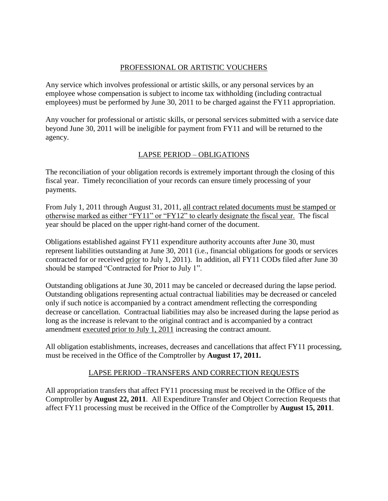## PROFESSIONAL OR ARTISTIC VOUCHERS

Any service which involves professional or artistic skills, or any personal services by an employee whose compensation is subject to income tax withholding (including contractual employees) must be performed by June 30, 2011 to be charged against the FY11 appropriation.

Any voucher for professional or artistic skills, or personal services submitted with a service date beyond June 30, 2011 will be ineligible for payment from FY11 and will be returned to the agency.

## LAPSE PERIOD – OBLIGATIONS

The reconciliation of your obligation records is extremely important through the closing of this fiscal year. Timely reconciliation of your records can ensure timely processing of your payments.

From July 1, 2011 through August 31, 2011, all contract related documents must be stamped or otherwise marked as either "FY11" or "FY12" to clearly designate the fiscal year. The fiscal year should be placed on the upper right-hand corner of the document.

Obligations established against FY11 expenditure authority accounts after June 30, must represent liabilities outstanding at June 30, 2011 (i.e., financial obligations for goods or services contracted for or received prior to July 1, 2011). In addition, all FY11 CODs filed after June 30 should be stamped "Contracted for Prior to July 1".

Outstanding obligations at June 30, 2011 may be canceled or decreased during the lapse period. Outstanding obligations representing actual contractual liabilities may be decreased or canceled only if such notice is accompanied by a contract amendment reflecting the corresponding decrease or cancellation. Contractual liabilities may also be increased during the lapse period as long as the increase is relevant to the original contract and is accompanied by a contract amendment executed prior to July 1, 2011 increasing the contract amount.

All obligation establishments, increases, decreases and cancellations that affect FY11 processing, must be received in the Office of the Comptroller by **August 17, 2011.**

## LAPSE PERIOD –TRANSFERS AND CORRECTION REQUESTS

All appropriation transfers that affect FY11 processing must be received in the Office of the Comptroller by **August 22, 2011**. All Expenditure Transfer and Object Correction Requests that affect FY11 processing must be received in the Office of the Comptroller by **August 15, 2011**.